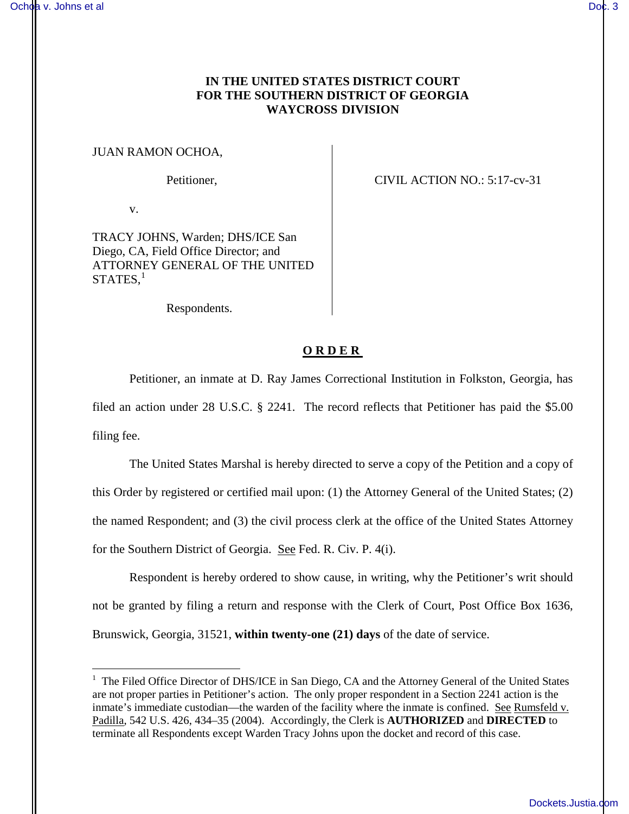## **IN THE UNITED STATES DISTRICT COURT FOR THE SOUTHERN DISTRICT OF GEORGIA WAYCROSS DIVISION**

## JUAN RAMON OCHOA,

Petitioner, CIVIL ACTION NO.: 5:17-cv-31

v.

 $\overline{a}$ 

TRACY JOHNS, Warden; DHS/ICE San Diego, CA, Field Office Director; and ATTORNEY GENERAL OF THE UNITED  $\mathrm{STATES},^{1}$ 

Respondents.

## **ORDER**

Petitioner, an inmate at D. Ray James Correctional Institution in Folkston, Georgia, has filed an action under 28 U.S.C. § 2241. The record reflects that Petitioner has paid the \$5.00 filing fee.

The United States Marshal is hereby directed to serve a copy of the Petition and a copy of this Order by registered or certified mail upon: (1) the Attorney General of the United States; (2) the named Respondent; and (3) the civil process clerk at the office of the United States Attorney for the Southern District of Georgia. See Fed. R. Civ. P. 4(i).

Respondent is hereby ordered to show cause, in writing, why the Petitioner's writ should not be granted by filing a return and response with the Clerk of Court, Post Office Box 1636, Brunswick, Georgia, 31521, **within twenty-one (21) days** of the date of service.

<sup>&</sup>lt;sup>1</sup> The Filed Office Director of DHS/ICE in San Diego, CA and the Attorney General of the United States are not proper parties in Petitioner's action. The only proper respondent in a Section 2241 action is the inmate's immediate custodian—the warden of the facility where the inmate is confined. See Rumsfeld v. Padilla, 542 U.S. 426, 434–35 (2004). Accordingly, the Clerk is **AUTHORIZED** and **DIRECTED** to terminate all Respondents except Warden Tracy Johns upon the docket and record of this case.